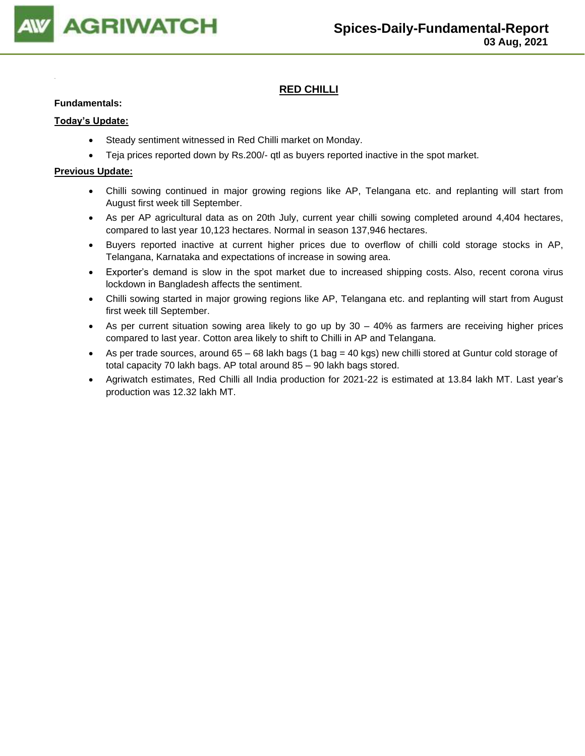

# **RED CHILLI**

### **Fundamentals:**

### **Today's Update:**

- Steady sentiment witnessed in Red Chilli market on Monday.
- Teja prices reported down by Rs.200/- qtl as buyers reported inactive in the spot market.

- Chilli sowing continued in major growing regions like AP, Telangana etc. and replanting will start from August first week till September.
- As per AP agricultural data as on 20th July, current year chilli sowing completed around 4,404 hectares, compared to last year 10,123 hectares. Normal in season 137,946 hectares.
- Buyers reported inactive at current higher prices due to overflow of chilli cold storage stocks in AP, Telangana, Karnataka and expectations of increase in sowing area.
- Exporter's demand is slow in the spot market due to increased shipping costs. Also, recent corona virus lockdown in Bangladesh affects the sentiment.
- Chilli sowing started in major growing regions like AP, Telangana etc. and replanting will start from August first week till September.
- As per current situation sowing area likely to go up by 30 40% as farmers are receiving higher prices compared to last year. Cotton area likely to shift to Chilli in AP and Telangana.
- As per trade sources, around 65 68 lakh bags (1 bag = 40 kgs) new chilli stored at Guntur cold storage of total capacity 70 lakh bags. AP total around 85 – 90 lakh bags stored.
- Agriwatch estimates, Red Chilli all India production for 2021-22 is estimated at 13.84 lakh MT. Last year's production was 12.32 lakh MT.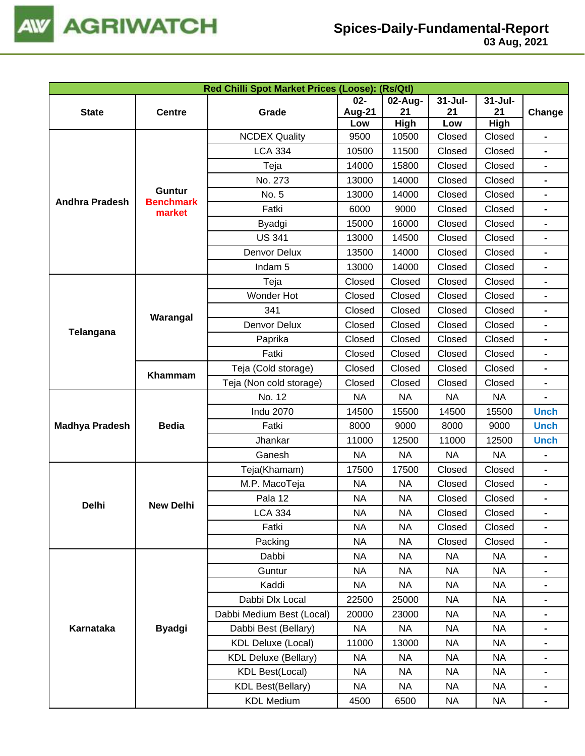

| 03 Aug, 2021 |  |
|--------------|--|
|              |  |

|                       |                  | Red Chilli Spot Market Prices (Loose): (Rs/Qtl) |                  |                      |                  |                |                              |
|-----------------------|------------------|-------------------------------------------------|------------------|----------------------|------------------|----------------|------------------------------|
|                       |                  |                                                 | $02-$            | 02-Aug-              | $31 -$ Jul-      | $31 -$ Jul-    |                              |
| <b>State</b>          | <b>Centre</b>    | Grade                                           | Aug-21           | 21                   | 21               | 21             | Change                       |
|                       |                  | <b>NCDEX Quality</b>                            | Low<br>9500      | <b>High</b><br>10500 | Low<br>Closed    | High<br>Closed | $\blacksquare$               |
| <b>Andhra Pradesh</b> |                  | <b>LCA 334</b>                                  | 10500            | 11500                | Closed           | Closed         | $\qquad \qquad \blacksquare$ |
|                       |                  | Teja                                            | 14000            | 15800                | Closed           | Closed         | $\blacksquare$               |
|                       |                  | No. 273                                         | 13000            | 14000                | Closed           | Closed         | $\blacksquare$               |
|                       | <b>Guntur</b>    | No. 5                                           | 13000            | 14000                | Closed           | Closed         |                              |
|                       | <b>Benchmark</b> | Fatki                                           | 6000             | 9000                 | Closed           | Closed         | $\blacksquare$               |
|                       | market           |                                                 | 15000            | 16000                | Closed           | Closed         |                              |
|                       |                  | Byadgi<br><b>US 341</b>                         | 13000            | 14500                | Closed           | Closed         |                              |
|                       |                  | Denvor Delux                                    | 13500            | 14000                | Closed           | Closed         |                              |
|                       |                  | Indam <sub>5</sub>                              | 13000            | 14000                | Closed           | Closed         | $\blacksquare$               |
|                       |                  |                                                 |                  | Closed               | Closed           | Closed         |                              |
|                       |                  | Teja<br>Wonder Hot                              | Closed<br>Closed | Closed               | Closed           | Closed         | $\blacksquare$               |
|                       |                  | 341                                             | Closed           | Closed               |                  | Closed         |                              |
|                       | Warangal         |                                                 |                  | Closed               | Closed<br>Closed |                |                              |
| Telangana             |                  | Denvor Delux                                    | Closed           |                      |                  | Closed         | $\blacksquare$               |
|                       |                  | Paprika                                         | Closed           | Closed               | Closed           | Closed         |                              |
|                       | Khammam          | Fatki                                           | Closed           | Closed               | Closed           | Closed         |                              |
|                       |                  | Teja (Cold storage)                             | Closed           | Closed               | Closed           | Closed         |                              |
|                       |                  | Teja (Non cold storage)                         | Closed           | Closed               | Closed           | Closed         | $\blacksquare$               |
|                       |                  | No. 12                                          | <b>NA</b>        | NA                   | <b>NA</b>        | <b>NA</b>      |                              |
|                       |                  | <b>Indu 2070</b>                                | 14500            | 15500                | 14500            | 15500          | <b>Unch</b>                  |
| <b>Madhya Pradesh</b> | <b>Bedia</b>     | Fatki                                           | 8000             | 9000                 | 8000             | 9000           | <b>Unch</b>                  |
|                       |                  | Jhankar                                         | 11000            | 12500                | 11000            | 12500          | <b>Unch</b>                  |
|                       |                  | Ganesh                                          | <b>NA</b>        | <b>NA</b>            | <b>NA</b>        | <b>NA</b>      |                              |
|                       |                  | Teja(Khamam)                                    | 17500            | 17500                | Closed           | Closed         |                              |
|                       |                  | M.P. MacoTeja                                   | <b>NA</b>        | <b>NA</b>            | Closed           | Closed         | $\blacksquare$               |
| Delhi                 | <b>New Delhi</b> | Pala 12                                         | <b>NA</b>        | NA                   | Closed           | Closed         | $\blacksquare$               |
|                       |                  | <b>LCA 334</b>                                  | <b>NA</b>        | NA                   | Closed           | Closed         | $\qquad \qquad \blacksquare$ |
|                       |                  | Fatki                                           | <b>NA</b>        | <b>NA</b>            | Closed           | Closed         |                              |
|                       |                  | Packing                                         | <b>NA</b>        | <b>NA</b>            | Closed           | Closed         |                              |
|                       |                  | Dabbi                                           | <b>NA</b>        | <b>NA</b>            | <b>NA</b>        | <b>NA</b>      |                              |
|                       |                  | Guntur                                          | <b>NA</b>        | <b>NA</b>            | <b>NA</b>        | <b>NA</b>      | $\blacksquare$               |
|                       |                  | Kaddi                                           | <b>NA</b>        | <b>NA</b>            | <b>NA</b>        | <b>NA</b>      |                              |
|                       |                  | Dabbi Dlx Local                                 | 22500            | 25000                | <b>NA</b>        | <b>NA</b>      |                              |
|                       |                  | Dabbi Medium Best (Local)                       | 20000            | 23000                | <b>NA</b>        | <b>NA</b>      |                              |
| Karnataka             | <b>Byadgi</b>    | Dabbi Best (Bellary)                            | <b>NA</b>        | NA                   | <b>NA</b>        | <b>NA</b>      |                              |
|                       |                  | <b>KDL Deluxe (Local)</b>                       | 11000            | 13000                | <b>NA</b>        | <b>NA</b>      |                              |
|                       |                  | <b>KDL Deluxe (Bellary)</b>                     | <b>NA</b>        | <b>NA</b>            | <b>NA</b>        | <b>NA</b>      |                              |
|                       |                  | <b>KDL Best(Local)</b>                          | <b>NA</b>        | NA                   | <b>NA</b>        | <b>NA</b>      |                              |
|                       |                  | <b>KDL Best(Bellary)</b>                        | <b>NA</b>        | <b>NA</b>            | <b>NA</b>        | <b>NA</b>      |                              |
|                       |                  | <b>KDL Medium</b>                               | 4500             | 6500                 | <b>NA</b>        | <b>NA</b>      | $\blacksquare$               |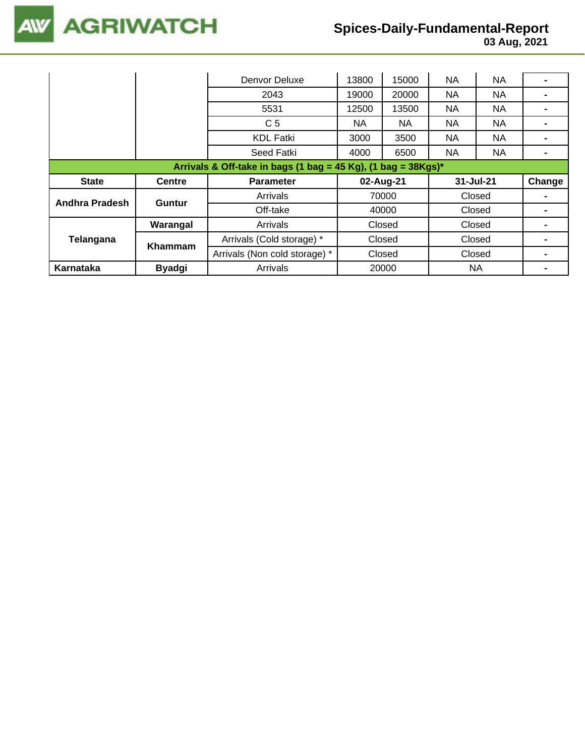

# **Spices-Daily-Fundamental-Report**

|                                                                  |               | Denvor Deluxe                 | 13800     | 15000  | <b>NA</b> | <b>NA</b> |                |  |
|------------------------------------------------------------------|---------------|-------------------------------|-----------|--------|-----------|-----------|----------------|--|
|                                                                  |               | 2043                          | 19000     | 20000  | NA.       | <b>NA</b> |                |  |
|                                                                  |               | 5531                          | 12500     | 13500  | <b>NA</b> | <b>NA</b> |                |  |
|                                                                  |               | C <sub>5</sub>                | NA.       | NA     | <b>NA</b> | <b>NA</b> |                |  |
|                                                                  |               | <b>KDL Fatki</b>              | 3000      | 3500   | NA.       | NA.       | $\blacksquare$ |  |
|                                                                  |               | Seed Fatki                    | 4000      | 6500   | NA.       | NA.       |                |  |
| Arrivals & Off-take in bags (1 bag = 45 Kg), (1 bag = $38Kgs$ )* |               |                               |           |        |           |           |                |  |
|                                                                  |               |                               |           |        |           |           |                |  |
| <b>State</b>                                                     | <b>Centre</b> | <b>Parameter</b>              | 02-Aug-21 |        | 31-Jul-21 |           | Change         |  |
|                                                                  |               | Arrivals                      |           | 70000  |           | Closed    |                |  |
| Andhra Pradesh                                                   | Guntur        | Off-take                      |           | 40000  |           | Closed    |                |  |
|                                                                  | Warangal      | Arrivals                      |           | Closed |           | Closed    |                |  |
| Telangana                                                        |               | Arrivals (Cold storage) *     |           | Closed |           | Closed    |                |  |
|                                                                  | Khammam       | Arrivals (Non cold storage) * |           | Closed |           | Closed    |                |  |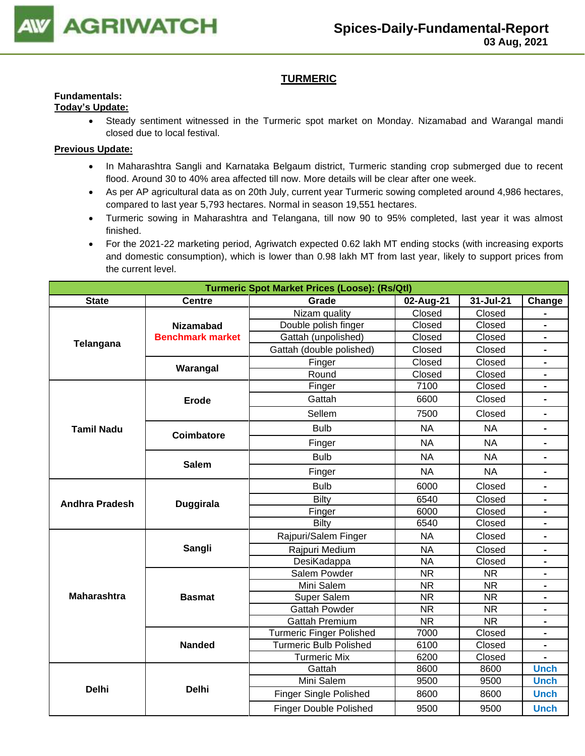

# **TURMERIC**

#### **Fundamentals: Today's Update:**

• Steady sentiment witnessed in the Turmeric spot market on Monday. Nizamabad and Warangal mandi closed due to local festival.

- In Maharashtra Sangli and Karnataka Belgaum district, Turmeric standing crop submerged due to recent flood. Around 30 to 40% area affected till now. More details will be clear after one week.
- As per AP agricultural data as on 20th July, current year Turmeric sowing completed around 4,986 hectares, compared to last year 5,793 hectares. Normal in season 19,551 hectares.
- Turmeric sowing in Maharashtra and Telangana, till now 90 to 95% completed, last year it was almost finished.
- For the 2021-22 marketing period, Agriwatch expected 0.62 lakh MT ending stocks (with increasing exports and domestic consumption), which is lower than 0.98 lakh MT from last year, likely to support prices from the current level.

| <b>Turmeric Spot Market Prices (Loose): (Rs/Qtl)</b> |                         |                                 |                        |                        |                              |
|------------------------------------------------------|-------------------------|---------------------------------|------------------------|------------------------|------------------------------|
| <b>State</b>                                         | <b>Centre</b>           | Grade                           | 02-Aug-21              | 31-Jul-21              | Change                       |
|                                                      |                         | Nizam quality                   | Closed                 | Closed                 |                              |
| Telangana                                            | <b>Nizamabad</b>        | Double polish finger            | Closed                 | Closed                 | $\blacksquare$               |
|                                                      | <b>Benchmark market</b> | Gattah (unpolished)             | Closed                 | Closed                 | $\blacksquare$               |
|                                                      |                         | Gattah (double polished)        | Closed                 | Closed                 | $\blacksquare$               |
|                                                      | Warangal                | Finger                          | Closed                 | Closed                 | $\blacksquare$               |
|                                                      |                         | Round                           | Closed                 | Closed                 |                              |
|                                                      |                         | Finger                          | 7100                   | Closed                 |                              |
|                                                      | <b>Erode</b>            | Gattah                          | 6600                   | Closed                 |                              |
|                                                      |                         | Sellem                          | 7500                   | Closed                 | $\blacksquare$               |
| <b>Tamil Nadu</b>                                    | Coimbatore              | <b>Bulb</b>                     | <b>NA</b>              | <b>NA</b>              |                              |
|                                                      |                         | Finger                          | <b>NA</b>              | <b>NA</b>              | $\blacksquare$               |
|                                                      | <b>Salem</b>            | <b>Bulb</b>                     | <b>NA</b>              | <b>NA</b>              | $\blacksquare$               |
|                                                      |                         | Finger                          | <b>NA</b>              | <b>NA</b>              | $\blacksquare$               |
|                                                      |                         | <b>Bulb</b>                     | 6000                   | Closed                 |                              |
| <b>Andhra Pradesh</b>                                | <b>Duggirala</b>        | Bilty                           | 6540                   | Closed                 |                              |
|                                                      |                         | Finger                          | 6000                   | Closed                 |                              |
|                                                      |                         | <b>Bilty</b>                    | 6540                   | Closed                 |                              |
|                                                      |                         | Rajpuri/Salem Finger            | <b>NA</b>              | Closed                 | $\qquad \qquad \blacksquare$ |
|                                                      | Sangli                  | Rajpuri Medium                  | <b>NA</b>              | Closed                 | $\qquad \qquad \blacksquare$ |
|                                                      |                         | DesiKadappa                     | <b>NA</b>              | Closed                 | $\blacksquare$               |
|                                                      |                         | Salem Powder                    | <b>NR</b>              | <b>NR</b>              | $\blacksquare$               |
|                                                      |                         | Mini Salem                      | <b>NR</b>              | <b>NR</b>              | $\blacksquare$               |
| <b>Maharashtra</b>                                   | <b>Basmat</b>           | Super Salem                     | <b>NR</b>              | <b>NR</b>              |                              |
|                                                      |                         | Gattah Powder                   | $\overline{\text{NR}}$ | $\overline{\text{NR}}$ | $\blacksquare$               |
|                                                      |                         | <b>Gattah Premium</b>           | <b>NR</b>              | <b>NR</b>              |                              |
|                                                      |                         | <b>Turmeric Finger Polished</b> | 7000                   | Closed                 |                              |
|                                                      | <b>Nanded</b>           | <b>Turmeric Bulb Polished</b>   | 6100                   | Closed                 |                              |
|                                                      |                         | <b>Turmeric Mix</b>             | 6200                   | Closed                 |                              |
|                                                      |                         | Gattah                          | 8600                   | 8600                   | <b>Unch</b>                  |
| <b>Delhi</b>                                         | <b>Delhi</b>            | Mini Salem                      | 9500                   | 9500                   | <b>Unch</b>                  |
|                                                      |                         | <b>Finger Single Polished</b>   | 8600                   | 8600                   | <b>Unch</b>                  |
|                                                      |                         | <b>Finger Double Polished</b>   | 9500                   | 9500                   | <b>Unch</b>                  |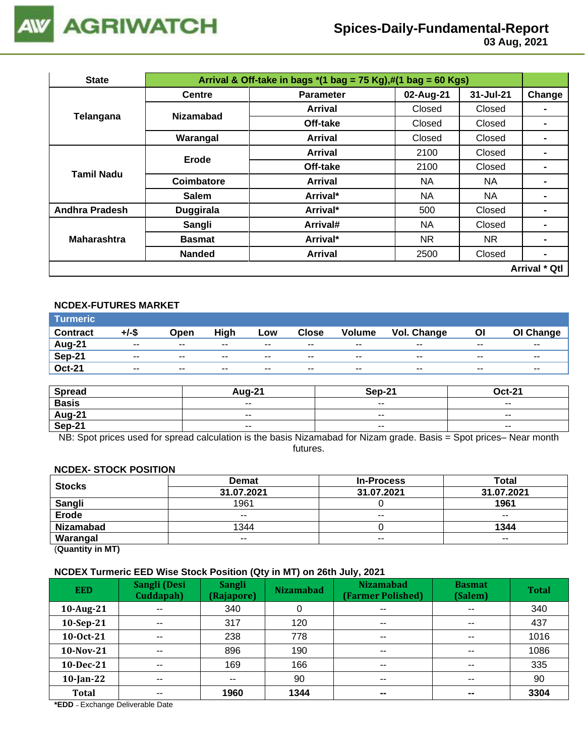

# **Spices-Daily-Fundamental-Report**

 **03 Aug, 2021**

| <b>State</b>          |                  | Arrival & Off-take in bags $*(1 \text{ bag} = 75 \text{ Kg}), \#(1 \text{ bag} = 60 \text{ Kg})$ |           |           |                      |  |  |
|-----------------------|------------------|--------------------------------------------------------------------------------------------------|-----------|-----------|----------------------|--|--|
|                       | <b>Centre</b>    | <b>Parameter</b>                                                                                 | 02-Aug-21 | 31-Jul-21 | Change               |  |  |
| Telangana             | <b>Nizamabad</b> | Arrival                                                                                          | Closed    | Closed    |                      |  |  |
|                       |                  | Off-take                                                                                         | Closed    | Closed    |                      |  |  |
|                       | Warangal         | Arrival                                                                                          | Closed    | Closed    |                      |  |  |
|                       | <b>Erode</b>     | Arrival                                                                                          | 2100      | Closed    |                      |  |  |
| <b>Tamil Nadu</b>     |                  | Off-take                                                                                         | 2100      | Closed    |                      |  |  |
|                       | Coimbatore       | Arrival                                                                                          | NA.       | NA.       |                      |  |  |
|                       | <b>Salem</b>     | Arrival*                                                                                         | NA.       | NA        | $\blacksquare$       |  |  |
| <b>Andhra Pradesh</b> | <b>Duggirala</b> | Arrival*                                                                                         | 500       | Closed    | $\blacksquare$       |  |  |
|                       | Sangli           | Arrival#                                                                                         | NA.       | Closed    |                      |  |  |
| <b>Maharashtra</b>    | <b>Basmat</b>    | Arrival*                                                                                         | NR.       | NR.       |                      |  |  |
|                       | <b>Nanded</b>    | <b>Arrival</b>                                                                                   | 2500      | Closed    | $\blacksquare$       |  |  |
|                       |                  |                                                                                                  |           |           | <b>Arrival * Qtl</b> |  |  |

# **NCDEX-FUTURES MARKET**

| <b>Turmeric</b> |               |       |       |       |              |               |             |       |           |
|-----------------|---------------|-------|-------|-------|--------------|---------------|-------------|-------|-----------|
| <b>Contract</b> | +/-\$         | Open  | High  | Low   | <b>Close</b> | <b>Volume</b> | Vol. Change | OI    | OI Change |
| Aug-21          | $\sim$ $\sim$ | $- -$ | $- -$ | $- -$ | $- -$        | $- -$         | --          | $- -$ | $- -$     |
| Sep-21          | $- -$         | $- -$ | $- -$ | $- -$ | $- -$        | --            | $- -$       | $- -$ | $- -$     |
| <b>Oct-21</b>   | $\sim$ $\sim$ | $- -$ | $- -$ | $- -$ | $- -$        | $- -$         | $- -$       | $- -$ | $- -$     |

| <b>Spread</b> | <b>Aug-21</b> | Sep-21 | Oct-21                   |
|---------------|---------------|--------|--------------------------|
| <b>Basis</b>  | $- -$         | $- -$  | $\sim$ $\sim$            |
| Aug-21        | $\sim$ $\sim$ | $- -$  | $\overline{\phantom{a}}$ |
| Sep-21        | $- -$         | $- -$  | $\overline{\phantom{a}}$ |

NB: Spot prices used for spread calculation is the basis Nizamabad for Nizam grade. Basis = Spot prices– Near month futures.

#### **NCDEX- STOCK POSITION**

| <b>Stocks</b>    | <b>Demat</b> | <b>In-Process</b> | Total         |
|------------------|--------------|-------------------|---------------|
|                  | 31.07.2021   | 31.07.2021        | 31.07.2021    |
| Sangli           | 1961         |                   | 1961          |
| <b>Erode</b>     | $- -$        | $- -$             | $\sim$ $\sim$ |
| <b>Nizamabad</b> | 1344         |                   | 1344          |
| Warangal         | $- -$        | $- -$             | $- -$         |

(**Quantity in MT)**

## **NCDEX Turmeric EED Wise Stock Position (Qty in MT) on 26th July, 2021**

| <b>EED</b>   | Sangli (Desi<br>Cuddapah) | <b>Sangli</b><br>(Rajapore) | . .<br><b>Nizamabad</b> | <b>Nizamabad</b><br>(Farmer Polished) | <b>Basmat</b><br>(Salem) | <b>Total</b> |
|--------------|---------------------------|-----------------------------|-------------------------|---------------------------------------|--------------------------|--------------|
| 10-Aug-21    | $\sim$ $\sim$             | 340                         | 0                       | $\overline{\phantom{a}}$              | $\overline{\phantom{a}}$ | 340          |
| 10-Sep-21    | $- -$                     | 317                         | 120                     | $\sim$ $\sim$                         | $\overline{\phantom{a}}$ | 437          |
| 10-Oct-21    | $\sim$ $\sim$             | 238                         | 778                     | $\overline{\phantom{a}}$              | $\sim$ $\sim$            | 1016         |
| 10-Nov-21    | $-$                       | 896                         | 190                     | $- -$                                 | $\sim$ $\sim$            | 1086         |
| $10$ -Dec-21 | $- -$                     | 169                         | 166                     | $\sim$ $\sim$                         | $\sim$ $\sim$            | 335          |
| $10$ -Jan-22 | $- -$                     | $- -$                       | 90                      | $\sim$ $\sim$                         | $\sim$ $\sim$            | 90           |
| <b>Total</b> | $- -$                     | 1960                        | 1344                    | $\sim$                                | $\sim$                   | 3304         |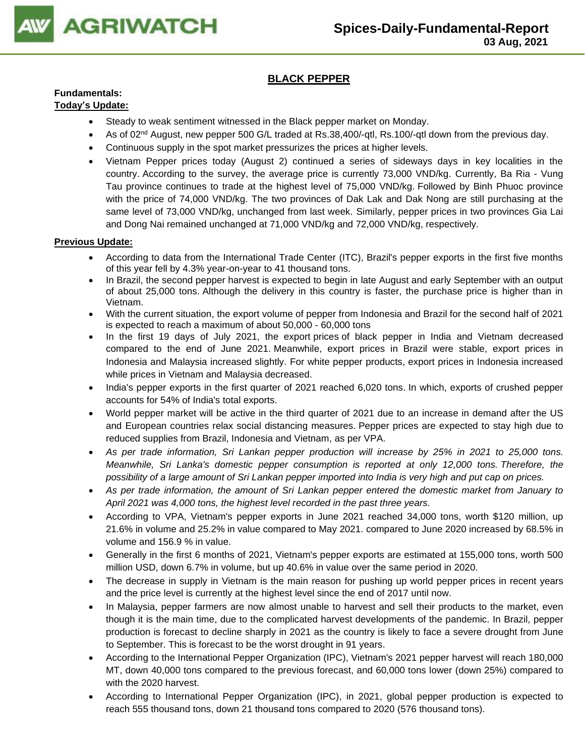

# **BLACK PEPPER**

# **Fundamentals:**

# **Today's Update:**

- Steady to weak sentiment witnessed in the Black pepper market on Monday.
- As of 02<sup>nd</sup> August, new pepper 500 G/L traded at Rs.38,400/-qtl, Rs.100/-qtl down from the previous day.
- Continuous supply in the spot market pressurizes the prices at higher levels.
- Vietnam Pepper prices today (August 2) continued a series of sideways days in key localities in the country. According to the survey, the average price is currently 73,000 VND/kg. Currently, Ba Ria - Vung Tau province continues to trade at the highest level of 75,000 VND/kg. Followed by Binh Phuoc province with the price of 74,000 VND/kg. The two provinces of Dak Lak and Dak Nong are still purchasing at the same level of 73,000 VND/kg, unchanged from last week. Similarly, pepper prices in two provinces Gia Lai and Dong Nai remained unchanged at 71,000 VND/kg and 72,000 VND/kg, respectively.

- According to data from the International Trade Center (ITC), Brazil's pepper exports in the first five months of this year fell by 4.3% year-on-year to 41 thousand tons.
- In Brazil, the second pepper harvest is expected to begin in late August and early September with an output of about 25,000 tons. Although the delivery in this country is faster, the purchase price is higher than in Vietnam.
- With the current situation, the export volume of pepper from Indonesia and Brazil for the second half of 2021 is expected to reach a maximum of about 50,000 - 60,000 tons
- In the first 19 days of July 2021, the export prices of black pepper in India and Vietnam decreased compared to the end of June 2021. Meanwhile, export prices in Brazil were stable, export prices in Indonesia and Malaysia increased slightly. For white pepper products, export prices in Indonesia increased while prices in Vietnam and Malaysia decreased.
- India's pepper exports in the first quarter of 2021 reached 6,020 tons. In which, exports of crushed pepper accounts for 54% of India's total exports.
- World pepper market will be active in the third quarter of 2021 due to an increase in demand after the US and European countries relax social distancing measures. Pepper prices are expected to stay high due to reduced supplies from Brazil, Indonesia and Vietnam, as per VPA.
- *As per trade information, Sri Lankan pepper production will increase by 25% in 2021 to 25,000 tons. Meanwhile, Sri Lanka's domestic pepper consumption is reported at only 12,000 tons. Therefore, the possibility of a large amount of Sri Lankan pepper imported into India is very high and put cap on prices.*
- *As per trade information, the amount of Sri Lankan pepper entered the domestic market from January to April 2021 was 4,000 tons, the highest level recorded in the past three years.*
- According to VPA, Vietnam's pepper exports in June 2021 reached 34,000 tons, worth \$120 million, up 21.6% in volume and 25.2% in value compared to May 2021. compared to June 2020 increased by 68.5% in volume and 156.9 % in value.
- Generally in the first 6 months of 2021, Vietnam's pepper exports are estimated at 155,000 tons, worth 500 million USD, down 6.7% in volume, but up 40.6% in value over the same period in 2020.
- The decrease in supply in Vietnam is the main reason for pushing up world pepper prices in recent years and the price level is currently at the highest level since the end of 2017 until now.
- In Malaysia, pepper farmers are now almost unable to harvest and sell their products to the market, even though it is the main time, due to the complicated harvest developments of the pandemic. In Brazil, pepper production is forecast to decline sharply in 2021 as the country is likely to face a severe drought from June to September. This is forecast to be the worst drought in 91 years.
- According to the International Pepper Organization (IPC), Vietnam's 2021 pepper harvest will reach 180,000 MT, down 40,000 tons compared to the previous forecast, and 60,000 tons lower (down 25%) compared to with the 2020 harvest.
- According to International Pepper Organization (IPC), in 2021, global pepper production is expected to reach 555 thousand tons, down 21 thousand tons compared to 2020 (576 thousand tons).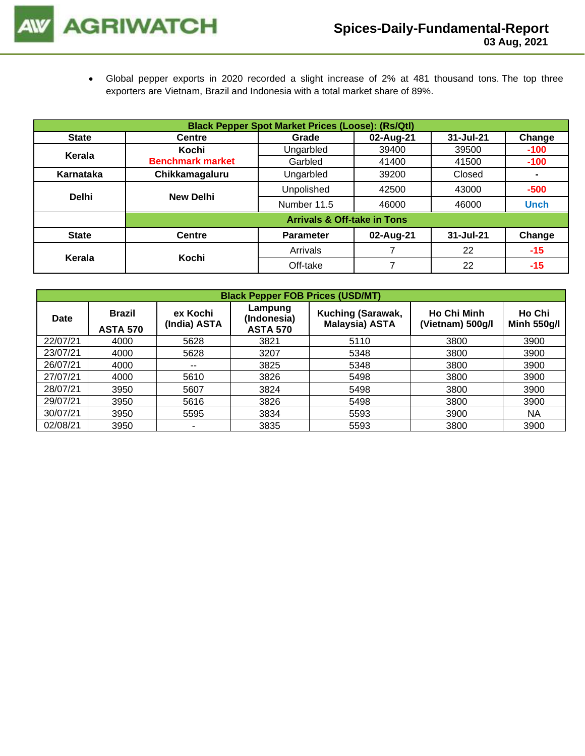• Global pepper exports in 2020 recorded a slight increase of 2% at 481 thousand tons. The top three exporters are Vietnam, Brazil and Indonesia with a total market share of 89%.

|              | <b>Black Pepper Spot Market Prices (Loose): (Rs/Qtl)</b> |                                        |           |           |                |  |  |  |
|--------------|----------------------------------------------------------|----------------------------------------|-----------|-----------|----------------|--|--|--|
| <b>State</b> | <b>Centre</b>                                            | Grade                                  | 02-Aug-21 | 31-Jul-21 | Change         |  |  |  |
| Kerala       | Kochi                                                    | Ungarbled                              | 39400     | 39500     | $-100$         |  |  |  |
|              | <b>Benchmark market</b>                                  | Garbled                                | 41400     | 41500     | $-100$         |  |  |  |
| Karnataka    | Chikkamagaluru                                           | Ungarbled                              | 39200     | Closed    | $\blacksquare$ |  |  |  |
| <b>Delhi</b> | <b>New Delhi</b>                                         | Unpolished                             | 42500     | 43000     | $-500$         |  |  |  |
|              |                                                          | Number 11.5                            | 46000     | 46000     | <b>Unch</b>    |  |  |  |
|              |                                                          | <b>Arrivals &amp; Off-take in Tons</b> |           |           |                |  |  |  |
| <b>State</b> | <b>Centre</b>                                            | <b>Parameter</b>                       | 02-Aug-21 | 31-Jul-21 | Change         |  |  |  |
|              | Kochi                                                    | Arrivals                               |           | 22        | $-15$          |  |  |  |
| Kerala       |                                                          | Off-take                               | 7         | 22        | $-15$          |  |  |  |

|          | <b>Black Pepper FOB Prices (USD/MT)</b> |                          |                                           |                                            |                                        |                              |  |  |  |  |
|----------|-----------------------------------------|--------------------------|-------------------------------------------|--------------------------------------------|----------------------------------------|------------------------------|--|--|--|--|
| Date     | <b>Brazil</b><br><b>ASTA 570</b>        | ex Kochi<br>(India) ASTA | Lampung<br>(Indonesia)<br><b>ASTA 570</b> | Kuching (Sarawak,<br><b>Malaysia) ASTA</b> | <b>Ho Chi Minh</b><br>(Vietnam) 500g/l | Ho Chi<br><b>Minh 550g/l</b> |  |  |  |  |
| 22/07/21 | 4000                                    | 5628                     | 3821                                      | 5110                                       | 3800                                   | 3900                         |  |  |  |  |
| 23/07/21 | 4000                                    | 5628                     | 3207                                      | 5348                                       | 3800                                   | 3900                         |  |  |  |  |
| 26/07/21 | 4000                                    | $\overline{\phantom{a}}$ | 3825                                      | 5348                                       | 3800                                   | 3900                         |  |  |  |  |
| 27/07/21 | 4000                                    | 5610                     | 3826                                      | 5498                                       | 3800                                   | 3900                         |  |  |  |  |
| 28/07/21 | 3950                                    | 5607                     | 3824                                      | 5498                                       | 3800                                   | 3900                         |  |  |  |  |
| 29/07/21 | 3950                                    | 5616                     | 3826                                      | 5498                                       | 3800                                   | 3900                         |  |  |  |  |
| 30/07/21 | 3950                                    | 5595                     | 3834                                      | 5593                                       | 3900                                   | <b>NA</b>                    |  |  |  |  |
| 02/08/21 | 3950                                    | ٠                        | 3835                                      | 5593                                       | 3800                                   | 3900                         |  |  |  |  |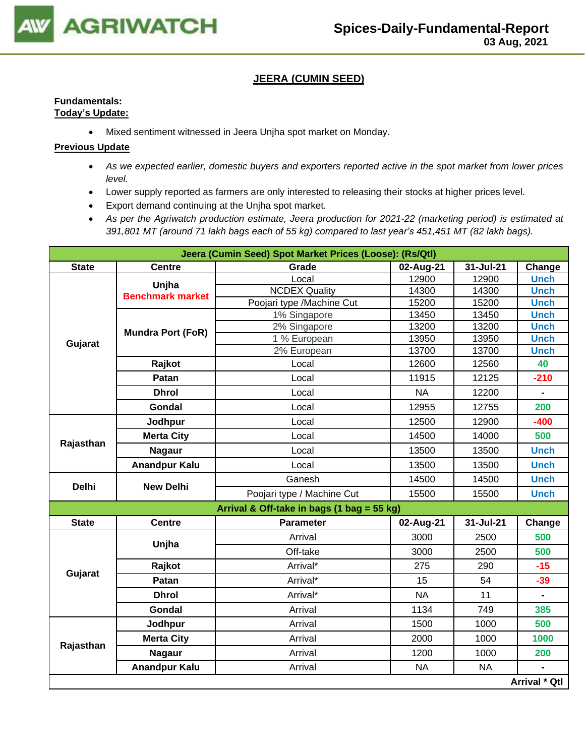

# **JEERA (CUMIN SEED)**

# **Fundamentals: Today's Update:**

• Mixed sentiment witnessed in Jeera Unjha spot market on Monday.

- *As we expected earlier, domestic buyers and exporters reported active in the spot market from lower prices level.*
- Lower supply reported as farmers are only interested to releasing their stocks at higher prices level.
- Export demand continuing at the Unjha spot market.
- *As per the Agriwatch production estimate, Jeera production for 2021-22 (marketing period) is estimated at 391,801 MT (around 71 lakh bags each of 55 kg) compared to last year's 451,451 MT (82 lakh bags).*

|              |                          | Jeera (Cumin Seed) Spot Market Prices (Loose): (Rs/Qtl) |           |           |                |
|--------------|--------------------------|---------------------------------------------------------|-----------|-----------|----------------|
| <b>State</b> | <b>Centre</b>            | Grade                                                   | 02-Aug-21 | 31-Jul-21 | Change         |
|              | Unjha                    | Local                                                   | 12900     | 12900     | <b>Unch</b>    |
|              | <b>Benchmark market</b>  | <b>NCDEX Quality</b>                                    | 14300     | 14300     | <b>Unch</b>    |
|              |                          | Poojari type /Machine Cut                               | 15200     | 15200     | <b>Unch</b>    |
| Gujarat      |                          | 1% Singapore                                            | 13450     | 13450     | <b>Unch</b>    |
|              | <b>Mundra Port (FoR)</b> | 2% Singapore                                            | 13200     | 13200     | <b>Unch</b>    |
|              |                          | 1 % European                                            | 13950     | 13950     | <b>Unch</b>    |
|              |                          | 2% European                                             | 13700     | 13700     | <b>Unch</b>    |
|              | Rajkot                   | Local                                                   | 12600     | 12560     | 40             |
|              | Patan                    | Local                                                   | 11915     | 12125     | $-210$         |
|              | <b>Dhrol</b>             | Local                                                   | <b>NA</b> | 12200     | $\blacksquare$ |
|              | Gondal                   | Local                                                   | 12955     | 12755     | 200            |
|              | Jodhpur                  | Local                                                   | 12500     | 12900     | $-400$         |
|              | <b>Merta City</b>        | Local                                                   | 14500     | 14000     | 500            |
| Rajasthan    | <b>Nagaur</b>            | Local                                                   | 13500     | 13500     | <b>Unch</b>    |
|              | <b>Anandpur Kalu</b>     | Local                                                   | 13500     | 13500     | <b>Unch</b>    |
| <b>Delhi</b> | <b>New Delhi</b>         | Ganesh                                                  | 14500     | 14500     | <b>Unch</b>    |
|              |                          | Poojari type / Machine Cut                              | 15500     | 15500     | <b>Unch</b>    |
|              |                          | Arrival & Off-take in bags (1 bag = 55 kg)              |           |           |                |
| <b>State</b> | <b>Centre</b>            | <b>Parameter</b>                                        | 02-Aug-21 | 31-Jul-21 | Change         |
|              | Unjha                    | Arrival                                                 | 3000      | 2500      | 500            |
|              |                          | Off-take                                                | 3000      | 2500      | 500            |
| Gujarat      | Rajkot                   | Arrival*                                                | 275       | 290       | $-15$          |
|              | Patan                    | Arrival*                                                | 15        | 54        | $-39$          |
|              | <b>Dhrol</b>             | Arrival*                                                | <b>NA</b> | 11        | $\blacksquare$ |
|              | Gondal                   | Arrival                                                 | 1134      | 749       | 385            |
|              | Jodhpur                  | Arrival                                                 | 1500      | 1000      | 500            |
| Rajasthan    | <b>Merta City</b>        | Arrival                                                 | 2000      | 1000      | 1000           |
|              | <b>Nagaur</b>            | Arrival                                                 | 1200      | 1000      | 200            |
|              | <b>Anandpur Kalu</b>     | Arrival                                                 | <b>NA</b> | <b>NA</b> |                |
|              |                          |                                                         |           |           | Arrival * Qtl  |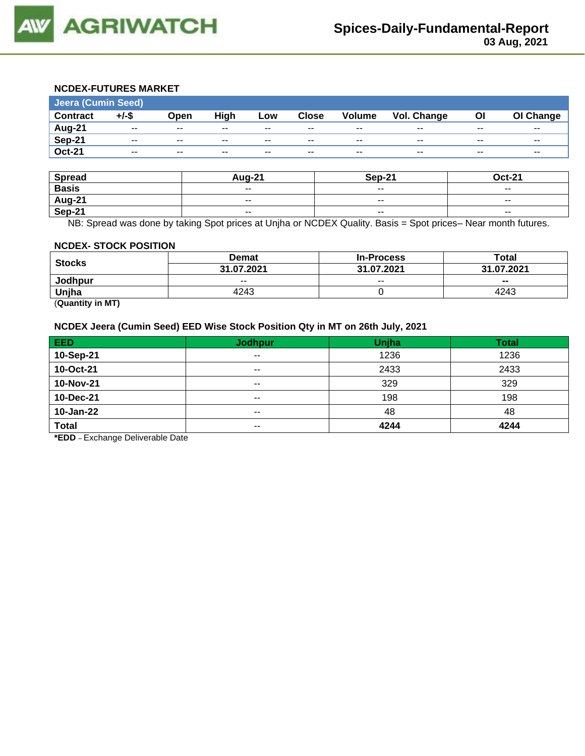

# **NCDEX-FUTURES MARKET**

| <b>Jeera (Cumin Seed)</b> |          |       |       |       |              |               |             |       |           |  |
|---------------------------|----------|-------|-------|-------|--------------|---------------|-------------|-------|-----------|--|
| <b>Contract</b>           | $+/-$ \$ | Open  | High  | Low   | <b>Close</b> | <b>Volume</b> | Vol. Change | Οl    | OI Change |  |
| Aug-21                    | $- -$    | $- -$ | $- -$ | $- -$ | $- -$        | $- -$         | $- -$       | $- -$ | $- -$     |  |
| Sep-21                    | $- -$    | $- -$ | $- -$ | $- -$ | $- -$        | $- -$         | $- -$       | $- -$ | $- -$     |  |
| <b>Oct-21</b>             | $- -$    | $- -$ | $- -$ | $- -$ | $- -$        | $- -$         | $- -$       | $- -$ | $- -$     |  |

| <b>Spread</b> | <b>Aug-21</b>            | <b>Sep-21</b>            | <b>Oct-21</b>            |
|---------------|--------------------------|--------------------------|--------------------------|
| <b>Basis</b>  | $- -$                    | $\overline{\phantom{a}}$ | $\overline{\phantom{a}}$ |
| <b>Aug-21</b> | $\overline{\phantom{a}}$ | $\sim$ $\sim$            | $\overline{\phantom{a}}$ |
| Sep-21        | $- -$                    | $\overline{\phantom{a}}$ | $\overline{\phantom{a}}$ |

NB: Spread was done by taking Spot prices at Unjha or NCDEX Quality. Basis = Spot prices– Near month futures.

#### **NCDEX- STOCK POSITION**

| <b>Stocks</b> | Demat      | <b>In-Process</b> | Total      |
|---------------|------------|-------------------|------------|
|               | 31.07.2021 | 31.07.2021        | 31.07.2021 |
| Jodhpur       | $- -$      | $- -$             | $- -$      |
| Unjha         | 4243       |                   | 4243       |

(**Quantity in MT)**

# **NCDEX Jeera (Cumin Seed) EED Wise Stock Position Qty in MT on 26th July, 2021**

| <b>EED</b>   | <b>Jodhpur</b> | Unjha | <b>Total</b> |
|--------------|----------------|-------|--------------|
| 10-Sep-21    | $- -$          | 1236  | 1236         |
| 10-Oct-21    | $- -$          | 2433  | 2433         |
| 10-Nov-21    | $- -$          | 329   | 329          |
| 10-Dec-21    | $- -$          | 198   | 198          |
| 10-Jan-22    | $- -$          | 48    | 48           |
| <b>Total</b> | $- -$          | 4244  | 4244         |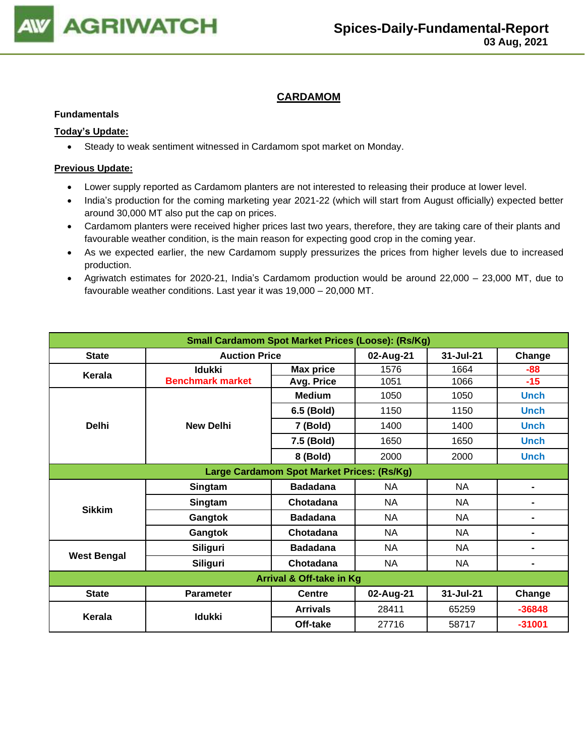

# **CARDAMOM**

#### **Fundamentals**

### **Today's Update:**

• Steady to weak sentiment witnessed in Cardamom spot market on Monday.

- Lower supply reported as Cardamom planters are not interested to releasing their produce at lower level.
- India's production for the coming marketing year 2021-22 (which will start from August officially) expected better around 30,000 MT also put the cap on prices.
- Cardamom planters were received higher prices last two years, therefore, they are taking care of their plants and favourable weather condition, is the main reason for expecting good crop in the coming year.
- As we expected earlier, the new Cardamom supply pressurizes the prices from higher levels due to increased production.
- Agriwatch estimates for 2020-21, India's Cardamom production would be around 22,000 23,000 MT, due to favourable weather conditions. Last year it was 19,000 – 20,000 MT.

| <b>Small Cardamom Spot Market Prices (Loose): (Rs/Kg)</b> |                         |                                            |           |             |                |  |  |  |
|-----------------------------------------------------------|-------------------------|--------------------------------------------|-----------|-------------|----------------|--|--|--|
| <b>State</b>                                              | <b>Auction Price</b>    |                                            | 02-Aug-21 | 31-Jul-21   | Change         |  |  |  |
| Kerala                                                    | <b>Idukki</b>           | <b>Max price</b>                           | 1576      | 1664        | -88            |  |  |  |
|                                                           | <b>Benchmark market</b> | Avg. Price                                 | 1051      | 1066        | $-15$          |  |  |  |
|                                                           |                         | <b>Medium</b>                              | 1050      | 1050        | <b>Unch</b>    |  |  |  |
|                                                           | 6.5 (Bold)              | 1150                                       | 1150      | <b>Unch</b> |                |  |  |  |
| <b>Delhi</b>                                              | <b>New Delhi</b>        | 7 (Bold)                                   | 1400      | 1400        | <b>Unch</b>    |  |  |  |
|                                                           | 7.5 (Bold)              | 1650                                       | 1650      | <b>Unch</b> |                |  |  |  |
|                                                           |                         |                                            | 2000      | 2000        | <b>Unch</b>    |  |  |  |
|                                                           |                         | Large Cardamom Spot Market Prices: (Rs/Kg) |           |             |                |  |  |  |
|                                                           | Singtam                 | <b>Badadana</b>                            | <b>NA</b> | NA          | $\blacksquare$ |  |  |  |
| <b>Sikkim</b>                                             | Singtam                 | Chotadana                                  | <b>NA</b> | <b>NA</b>   | $\blacksquare$ |  |  |  |
|                                                           | Gangtok                 | <b>Badadana</b>                            | <b>NA</b> | <b>NA</b>   | -              |  |  |  |
|                                                           | Gangtok                 | Chotadana                                  | <b>NA</b> | <b>NA</b>   | $\blacksquare$ |  |  |  |
| <b>West Bengal</b>                                        | <b>Siliguri</b>         | <b>Badadana</b>                            | <b>NA</b> | <b>NA</b>   | $\blacksquare$ |  |  |  |
|                                                           | Siliguri                | Chotadana                                  | <b>NA</b> | <b>NA</b>   | $\blacksquare$ |  |  |  |
|                                                           |                         | Arrival & Off-take in Kg                   |           |             |                |  |  |  |
| <b>State</b>                                              | <b>Parameter</b>        | <b>Centre</b>                              | 02-Aug-21 | 31-Jul-21   | Change         |  |  |  |
| Kerala                                                    | <b>Idukki</b>           | <b>Arrivals</b>                            | 28411     | 65259       | $-36848$       |  |  |  |
|                                                           |                         | Off-take                                   | 27716     | 58717       | $-31001$       |  |  |  |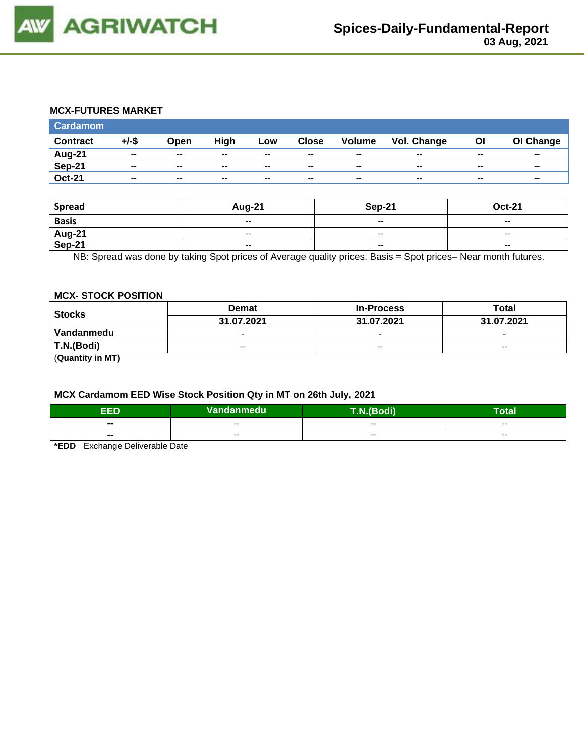

### **MCX-FUTURES MARKET**

| <b>Cardamom</b> |          |               |       |       |              |                          |                    |       |           |
|-----------------|----------|---------------|-------|-------|--------------|--------------------------|--------------------|-------|-----------|
| <b>Contract</b> | $+/-$ \$ | Open          | High  | Low   | <b>Close</b> | <b>Volume</b>            | <b>Vol. Change</b> | OI    | OI Change |
| Aug-21          | $- -$    | $\sim$ $\sim$ | $- -$ | $- -$ | $- -$        | $- -$                    | $- -$              | $- -$ | $- -$     |
| <b>Sep-21</b>   | $- -$    | $\sim$ $\sim$ | $-$   | $- -$ | $- -$        | $-$                      | $\sim$ $\sim$      | $- -$ | $- -$     |
| <b>Oct-21</b>   | $- -$    | $-$           | $- -$ | $- -$ | $- -$        | $\overline{\phantom{a}}$ | $-$                | $- -$ | $- -$     |

| <b>Spread</b>    | <b>Aug-21</b>            | Sep-21                   | <b>Oct-21</b>            |
|------------------|--------------------------|--------------------------|--------------------------|
| <b>Basis</b>     | $- -$                    | $\sim$ $\sim$            | $\sim$                   |
|                  | $- -$                    | $\sim$ $\sim$            | $\overline{\phantom{a}}$ |
| Aug-21<br>Sep-21 | $\overline{\phantom{a}}$ | $\overline{\phantom{a}}$ | $\overline{\phantom{a}}$ |

NB: Spread was done by taking Spot prices of Average quality prices. Basis = Spot prices– Near month futures.

#### **MCX- STOCK POSITION**

| <b>Stocks</b>    | <b>Demat</b>             | <b>In-Process</b>        | Total                    |
|------------------|--------------------------|--------------------------|--------------------------|
|                  | 31.07.2021               | 31.07.2021               | 31.07.2021               |
| Vandanmedu       | $\overline{\phantom{0}}$ | $\overline{\phantom{0}}$ | $\overline{\phantom{0}}$ |
| T.N.(Bodi)       | $- -$                    | $- -$                    | $-$                      |
| (0.0000)(0.0000) |                          |                          |                          |

(**Quantity in MT)**

# **MCX Cardamom EED Wise Stock Position Qty in MT on 26th July, 2021**

| ъ<br>сU                  | Vandanmedu | T.N.(Bodi) | --<br>lotal |  |  |
|--------------------------|------------|------------|-------------|--|--|
| $\overline{\phantom{a}}$ | $- -$      | $- -$      | $- -$       |  |  |
| $\blacksquare$           | $- -$      | $- -$      | $- -$       |  |  |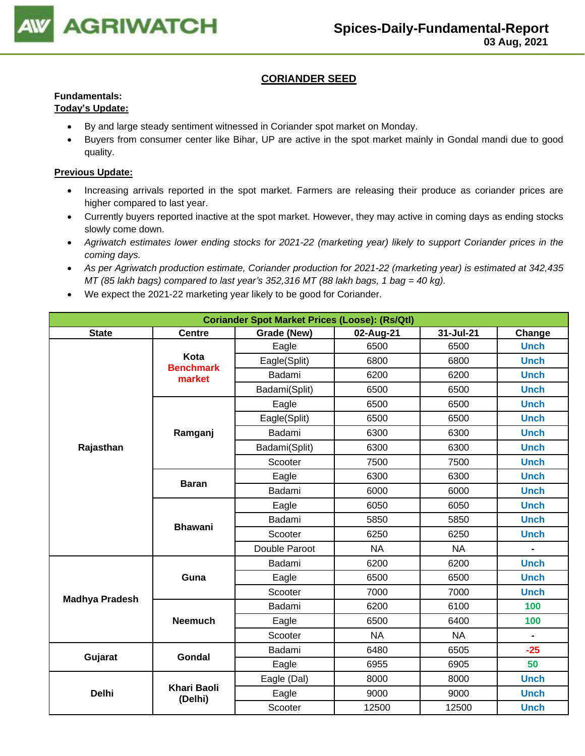

# **CORIANDER SEED**

# **Fundamentals:**

# **Today's Update:**

- By and large steady sentiment witnessed in Coriander spot market on Monday.
- Buyers from consumer center like Bihar, UP are active in the spot market mainly in Gondal mandi due to good quality.

- Increasing arrivals reported in the spot market. Farmers are releasing their produce as coriander prices are higher compared to last year.
- Currently buyers reported inactive at the spot market. However, they may active in coming days as ending stocks slowly come down.
- *Agriwatch estimates lower ending stocks for 2021-22 (marketing year) likely to support Coriander prices in the coming days.*
- *As per Agriwatch production estimate, Coriander production for 2021-22 (marketing year) is estimated at 342,435 MT (85 lakh bags) compared to last year's 352,316 MT (88 lakh bags, 1 bag = 40 kg).*
- We expect the 2021-22 marketing year likely to be good for Coriander.

| <b>Coriander Spot Market Prices (Loose): (Rs/Qtl)</b> |                               |               |           |           |                |  |  |  |
|-------------------------------------------------------|-------------------------------|---------------|-----------|-----------|----------------|--|--|--|
| <b>State</b>                                          | <b>Centre</b>                 | Grade (New)   | 02-Aug-21 | 31-Jul-21 | Change         |  |  |  |
|                                                       |                               | Eagle         | 6500      | 6500      | <b>Unch</b>    |  |  |  |
|                                                       | Kota<br><b>Benchmark</b>      | Eagle(Split)  | 6800      | 6800      | <b>Unch</b>    |  |  |  |
|                                                       | market                        | Badami        | 6200      | 6200      | <b>Unch</b>    |  |  |  |
|                                                       |                               | Badami(Split) | 6500      | 6500      | <b>Unch</b>    |  |  |  |
|                                                       |                               | Eagle         | 6500      | 6500      | <b>Unch</b>    |  |  |  |
|                                                       |                               | Eagle(Split)  | 6500      | 6500      | <b>Unch</b>    |  |  |  |
|                                                       | Ramganj                       | Badami        | 6300      | 6300      | <b>Unch</b>    |  |  |  |
| Rajasthan                                             |                               | Badami(Split) | 6300      | 6300      | <b>Unch</b>    |  |  |  |
|                                                       |                               | Scooter       | 7500      | 7500      | <b>Unch</b>    |  |  |  |
|                                                       | <b>Baran</b>                  | Eagle         | 6300      | 6300      | <b>Unch</b>    |  |  |  |
|                                                       |                               | Badami        | 6000      | 6000      | <b>Unch</b>    |  |  |  |
|                                                       |                               | Eagle         | 6050      | 6050      | <b>Unch</b>    |  |  |  |
|                                                       | <b>Bhawani</b>                | Badami        | 5850      | 5850      | <b>Unch</b>    |  |  |  |
|                                                       |                               | Scooter       | 6250      | 6250      | <b>Unch</b>    |  |  |  |
|                                                       |                               | Double Paroot | <b>NA</b> | <b>NA</b> | $\blacksquare$ |  |  |  |
|                                                       |                               | Badami        | 6200      | 6200      | <b>Unch</b>    |  |  |  |
|                                                       | Guna                          | Eagle         | 6500      | 6500      | <b>Unch</b>    |  |  |  |
| <b>Madhya Pradesh</b>                                 |                               | Scooter       | 7000      | 7000      | <b>Unch</b>    |  |  |  |
|                                                       |                               | Badami        | 6200      | 6100      | 100            |  |  |  |
|                                                       | <b>Neemuch</b>                | Eagle         | 6500      | 6400      | 100            |  |  |  |
|                                                       |                               | Scooter       | <b>NA</b> | <b>NA</b> |                |  |  |  |
|                                                       | <b>Gondal</b>                 | Badami        | 6480      | 6505      | $-25$          |  |  |  |
| Gujarat                                               |                               | Eagle         | 6955      | 6905      | 50             |  |  |  |
|                                                       |                               | Eagle (Dal)   | 8000      | 8000      | <b>Unch</b>    |  |  |  |
| <b>Delhi</b>                                          | <b>Khari Baoli</b><br>(Delhi) | Eagle         | 9000      | 9000      | <b>Unch</b>    |  |  |  |
|                                                       |                               | Scooter       | 12500     | 12500     | <b>Unch</b>    |  |  |  |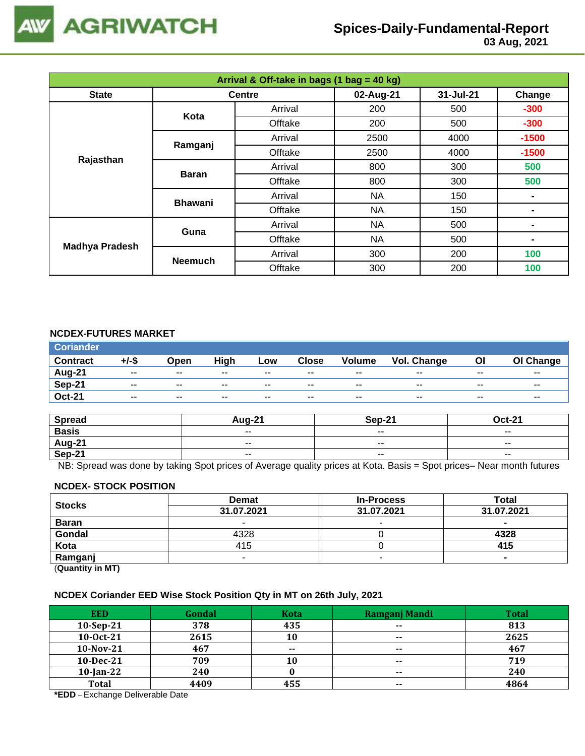

# **Spices-Daily-Fundamental-Report**

 **03 Aug, 2021**

| Arrival & Off-take in bags (1 bag = 40 kg) |                |               |           |           |         |  |  |  |  |
|--------------------------------------------|----------------|---------------|-----------|-----------|---------|--|--|--|--|
| <b>State</b>                               |                | <b>Centre</b> | 02-Aug-21 | 31-Jul-21 | Change  |  |  |  |  |
|                                            | Kota           | Arrival       | 200       | 500       | $-300$  |  |  |  |  |
|                                            |                | Offtake       | 200       | 500       | $-300$  |  |  |  |  |
|                                            | Ramganj        | Arrival       | 2500      | 4000      | $-1500$ |  |  |  |  |
| Rajasthan                                  |                | Offtake       | 2500      | 4000      | $-1500$ |  |  |  |  |
|                                            |                | Arrival       | 800       | 300       | 500     |  |  |  |  |
|                                            | <b>Baran</b>   | Offtake       | 800       | 300       | 500     |  |  |  |  |
|                                            |                | Arrival       | <b>NA</b> | 150       | ۰       |  |  |  |  |
|                                            | <b>Bhawani</b> | Offtake       | <b>NA</b> | 150       |         |  |  |  |  |
|                                            | Guna           | Arrival       | <b>NA</b> | 500       |         |  |  |  |  |
| <b>Madhya Pradesh</b>                      |                | Offtake       | <b>NA</b> | 500       | ۰       |  |  |  |  |
|                                            |                | Arrival       | 300       | 200       | 100     |  |  |  |  |
|                                            | <b>Neemuch</b> | Offtake       | 300       | 200       | 100     |  |  |  |  |

# **NCDEX-FUTURES MARKET**

| <b>Coriander</b> |          |               |       |       |              |               |             |       |                          |
|------------------|----------|---------------|-------|-------|--------------|---------------|-------------|-------|--------------------------|
| <b>Contract</b>  | $+/-$ \$ | Open          | High  | Low   | <b>Close</b> | <b>Volume</b> | Vol. Change | Οl    | OI Change                |
| Aug-21           | $- -$    | $\sim$ $\sim$ | $- -$ | $- -$ | $- -$        | $- -$         | $-$         | $- -$ | $- -$                    |
| <b>Sep-21</b>    | $- -$    | $\sim$ $\sim$ | $- -$ | $- -$ | $- -$        | $- -$         | $- -$       | $- -$ | $\overline{\phantom{a}}$ |
| <b>Oct-21</b>    | $- -$    | $\sim$ $\sim$ | $- -$ | $- -$ | $- -$        | $- -$         | $- -$       | $- -$ | $- -$                    |

| <b>Spread</b>    | $\Delta$ <sub>110-</sub> 2 <sup>4</sup> | <b>Sep-21</b>            | $Oct-21$                 |
|------------------|-----------------------------------------|--------------------------|--------------------------|
| <b>Basis</b>     | $ -$                                    | $\overline{\phantom{a}}$ | $\overline{\phantom{a}}$ |
| Aug-21<br>Sep-21 | $- -$                                   | $\overline{\phantom{a}}$ | $- -$                    |
|                  | $ -$                                    | $\overline{\phantom{a}}$ | $\sim$ $\sim$            |

NB: Spread was done by taking Spot prices of Average quality prices at Kota. Basis = Spot prices– Near month futures

#### **NCDEX- STOCK POSITION**

| <b>Stocks</b>           | <b>Demat</b> | <b>In-Process</b> | Total      |
|-------------------------|--------------|-------------------|------------|
|                         | 31.07.2021   | 31.07.2021        | 31.07.2021 |
| <b>Baran</b>            |              | -                 |            |
| Gondal                  | 4328         |                   | 4328       |
| Kota                    | 415          |                   | 415        |
| Ramganj                 |              |                   |            |
| (0.1222, 0.0122, 0.000) |              |                   |            |

(**Quantity in MT)**

#### **NCDEX Coriander EED Wise Stock Position Qty in MT on 26th July, 2021**

| <b>EED</b>   | Gondal | <b>Kota</b> | Ramganj Mandi | <b>Total</b> |
|--------------|--------|-------------|---------------|--------------|
| $10-Sep-21$  | 378    | 435         | $\sim$ $\sim$ | 813          |
| 10-0ct-21    | 2615   | 10          | $\sim$        | 2625         |
| 10-Nov-21    | 467    | $- -$       | $- -$         | 467          |
| $10$ -Dec-21 | 709    | 10          | $\sim$        | 719          |
| $10$ -Jan-22 | 240    |             | $\sim$        | 240          |
| <b>Total</b> | 4409   | 455         | $\sim$ $\sim$ | 4864         |